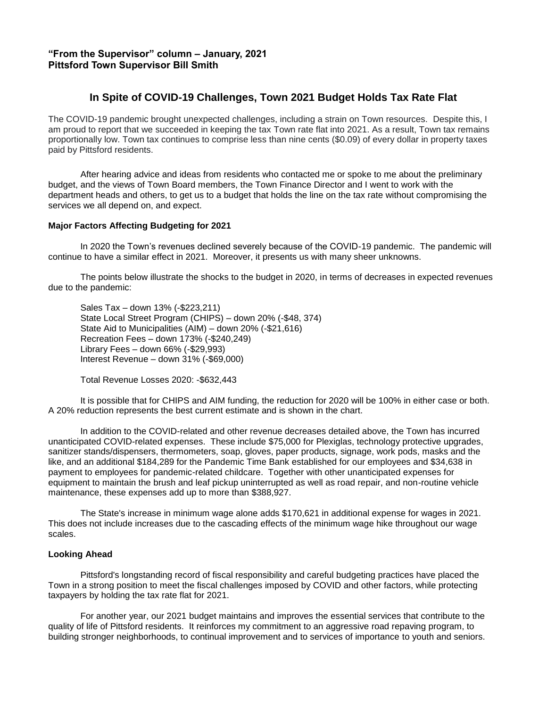## **In Spite of COVID-19 Challenges, Town 2021 Budget Holds Tax Rate Flat**

The COVID-19 pandemic brought unexpected challenges, including a strain on Town resources. Despite this, I am proud to report that we succeeded in keeping the tax Town rate flat into 2021. As a result, Town tax remains proportionally low. Town tax continues to comprise less than nine cents (\$0.09) of every dollar in property taxes paid by Pittsford residents.

After hearing advice and ideas from residents who contacted me or spoke to me about the preliminary budget, and the views of Town Board members, the Town Finance Director and I went to work with the department heads and others, to get us to a budget that holds the line on the tax rate without compromising the services we all depend on, and expect.

## **Major Factors Affecting Budgeting for 2021**

In 2020 the Town's revenues declined severely because of the COVID-19 pandemic. The pandemic will continue to have a similar effect in 2021. Moreover, it presents us with many sheer unknowns.

The points below illustrate the shocks to the budget in 2020, in terms of decreases in expected revenues due to the pandemic:

Sales Tax – down 13% (-\$223,211) State Local Street Program (CHIPS) – down 20% (-\$48, 374) State Aid to Municipalities (AIM) – down 20% (-\$21,616) Recreation Fees – down 173% (-\$240,249) Library Fees – down 66% (-\$29,993) Interest Revenue – down 31% (-\$69,000)

Total Revenue Losses 2020: -\$632,443

It is possible that for CHIPS and AIM funding, the reduction for 2020 will be 100% in either case or both. A 20% reduction represents the best current estimate and is shown in the chart.

In addition to the COVID-related and other revenue decreases detailed above, the Town has incurred unanticipated COVID-related expenses. These include \$75,000 for Plexiglas, technology protective upgrades, sanitizer stands/dispensers, thermometers, soap, gloves, paper products, signage, work pods, masks and the like, and an additional \$184,289 for the Pandemic Time Bank established for our employees and \$34,638 in payment to employees for pandemic-related childcare. Together with other unanticipated expenses for equipment to maintain the brush and leaf pickup uninterrupted as well as road repair, and non-routine vehicle maintenance, these expenses add up to more than \$388,927.

The State's increase in minimum wage alone adds \$170,621 in additional expense for wages in 2021. This does not include increases due to the cascading effects of the minimum wage hike throughout our wage scales.

## **Looking Ahead**

Pittsford's longstanding record of fiscal responsibility and careful budgeting practices have placed the Town in a strong position to meet the fiscal challenges imposed by COVID and other factors, while protecting taxpayers by holding the tax rate flat for 2021.

For another year, our 2021 budget maintains and improves the essential services that contribute to the quality of life of Pittsford residents. It reinforces my commitment to an aggressive road repaving program, to building stronger neighborhoods, to continual improvement and to services of importance to youth and seniors.